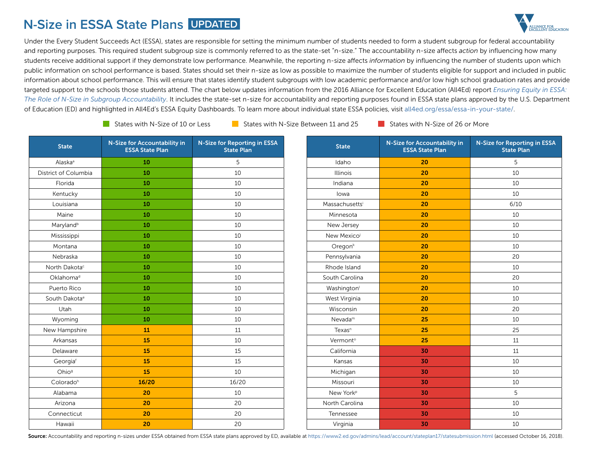## **N-Size in ESSA State Plans UPDATED**



Under the Every Student Succeeds Act (ESSA), states are responsible for setting the minimum number of students needed to form a student subgroup for federal accountability and reporting purposes. This required student subgroup size is commonly referred to as the state-set "n-size." The accountability n-size affects *action* by influencing how many students receive additional support if they demonstrate low performance. Meanwhile, the reporting n-size affects *information* by influencing the number of students upon which public information on school performance is based. States should set their n-size as low as possible to maximize the number of students eligible for support and included in public information about school performance. This will ensure that states identify student subgroups with low academic performance and/or low high school graduation rates and provide targeted support to the schools those students attend. The chart below updates information from the 2016 Alliance for Excellent Education (All4Ed) report *[Ensuring Equity in ESSA:](https://all4ed.org/reports-factsheets/n-size/)  [The Role of N-Size in Subgroup Accountability](https://all4ed.org/reports-factsheets/n-size/)*. It includes the state-set n-size for accountability and reporting purposes found in ESSA state plans approved by the U.S. Department of Education (ED) and highlighted in All4Ed's ESSA Equity Dashboards. To learn more about individual state ESSA policies, visit [all4ed.org/essa/essa-in-your-state/.](https://all4ed.org/essa/essa-in-your-state/)

States with N-Size of 10 or Less States with N-Size Between 11 and 25 States with N-Size of 26 or More

| <b>State</b>              | N-Size for Accountability in<br><b>ESSA State Plan</b> | <b>N-Size for Reporting in ESSA</b><br><b>State Plan</b> | <b>State</b>   |
|---------------------------|--------------------------------------------------------|----------------------------------------------------------|----------------|
| Alaska <sup>a</sup>       | 10                                                     | 5                                                        | Idaho          |
| District of Columbia      | 10                                                     | 10                                                       | <b>Illinoi</b> |
| Florida                   | 10                                                     | 10                                                       | Indian         |
| Kentucky                  | 10                                                     | 10                                                       | lowa           |
| Louisiana                 | 10                                                     | 10                                                       | Massachu       |
| Maine                     | 10                                                     | 10                                                       | Minneso        |
| Maryland <sup>b</sup>     | 10                                                     | 10                                                       | New Jer        |
| Mississippi               | 10                                                     | 10                                                       | New Mex        |
| Montana                   | 10                                                     | 10                                                       | Orego          |
| Nebraska                  | 10                                                     | 10                                                       | Pennsylv       |
| North Dakota <sup>c</sup> | 10                                                     | 10                                                       | Rhode Is       |
| Oklahoma <sup>d</sup>     | 10                                                     | 10                                                       | South Car      |
| Puerto Rico               | 10                                                     | 10                                                       | Washing        |
| South Dakota <sup>e</sup> | 10                                                     | 10                                                       | West Virg      |
| Utah                      | 10                                                     | 10                                                       | Wiscon         |
| Wyoming                   | 10                                                     | 10                                                       | Nevada         |
| New Hampshire             | 11                                                     | 11                                                       | Texas          |
| Arkansas                  | 15                                                     | 10                                                       | Vermor         |
| Delaware                  | 15                                                     | 15                                                       | Califorr       |
| Georgiaf                  | 15                                                     | 15                                                       | Kansa          |
| Ohio <sup>9</sup>         | 15                                                     | 10                                                       | Michiga        |
| Colorado <sup>h</sup>     | 16/20                                                  | 16/20                                                    | Missou         |
| Alabama                   | 20                                                     | 10                                                       | New Yo         |
| Arizona                   | 20                                                     | 20                                                       | North Car      |
| Connecticut               | 20                                                     | 20                                                       | Tenness        |
| Hawaii                    | 20                                                     | 20                                                       | Virgini        |

| <b>State</b>           | N-Size for Accountability in<br><b>ESSA State Plan</b> | <b>N-Size for Reporting in ESSA</b><br><b>State Plan</b> |
|------------------------|--------------------------------------------------------|----------------------------------------------------------|
| Idaho                  | 20                                                     | 5                                                        |
| <b>Illinois</b>        | 20                                                     | 10                                                       |
| Indiana                | 20                                                     | 10                                                       |
| lowa                   | 20                                                     | 10                                                       |
| Massachusetts          | 20                                                     | 6/10                                                     |
| Minnesota              | 20                                                     | 10                                                       |
| New Jersey             | 20                                                     | 10                                                       |
| New Mexicoi            | 20                                                     | 10                                                       |
| Oregon <sup>k</sup>    | 20                                                     | 10                                                       |
| Pennsylvania           | 20                                                     | 20                                                       |
| Rhode Island           | 20                                                     | 10                                                       |
| South Carolina         | 20                                                     | 20                                                       |
| Washington             | 20                                                     | 10                                                       |
| West Virginia          | 20                                                     | 10                                                       |
| Wisconsin              | 20                                                     | 20                                                       |
| $N$ evada <sup>m</sup> | 25                                                     | 10                                                       |
| $T$ exas <sup>n</sup>  | 25                                                     | 25                                                       |
| Vermont <sup>o</sup>   | 25                                                     | 11                                                       |
| California             | 30                                                     | 11                                                       |
| Kansas                 | 30                                                     | 10                                                       |
| Michigan               | 30                                                     | 10                                                       |
| Missouri               | 30                                                     | 10                                                       |
| New York <sup>p</sup>  | 30                                                     | 5                                                        |
| North Carolina         | 30                                                     | 10                                                       |
| Tennessee              | 30                                                     | 10                                                       |
| Virginia               | 30                                                     | 10                                                       |

Source: Accountability and reporting n-sizes under ESSA obtained from ESSA state plans approved by ED, available at<https://www2.ed.gov/admins/lead/account/stateplan17/statesubmission.html>(accessed October 16, 2018).